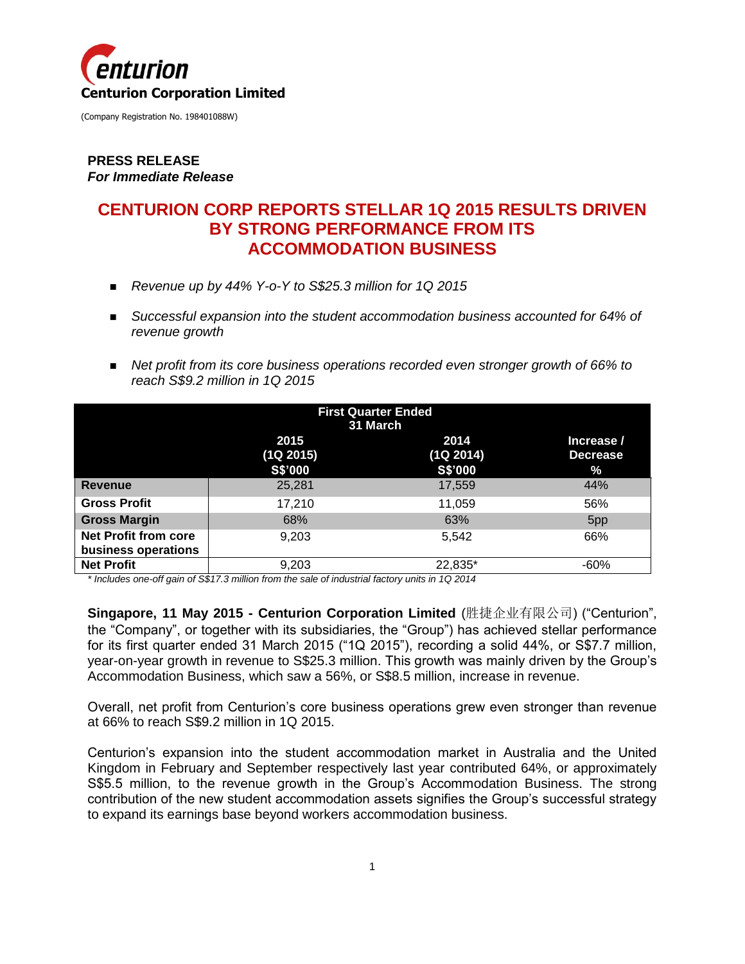

### **PRESS RELEASE** *For Immediate Release*

# **CENTURION CORP REPORTS STELLAR 1Q 2015 RESULTS DRIVEN BY STRONG PERFORMANCE FROM ITS ACCOMMODATION BUSINESS**

- *Revenue up by 44% Y-o-Y to S\$25.3 million for 1Q 2015*
- **Successful expansion into the student accommodation business accounted for 64% of** *revenue growth*
- **•** Net profit from its core business operations recorded even stronger growth of 66% to *reach S\$9.2 million in 1Q 2015*

|                                                    | <b>First Quarter Ended</b><br>31 March |                              |                                    |  |
|----------------------------------------------------|----------------------------------------|------------------------------|------------------------------------|--|
|                                                    | 2015<br>(1Q 2015)<br>S\$'000           | 2014<br>(1Q 2014)<br>S\$'000 | Increase /<br><b>Decrease</b><br>% |  |
| <b>Revenue</b>                                     | 25,281                                 | 17,559                       | 44%                                |  |
| <b>Gross Profit</b>                                | 17,210                                 | 11,059                       | 56%                                |  |
| <b>Gross Margin</b>                                | 68%                                    | 63%                          | 5pp                                |  |
| <b>Net Profit from core</b><br>business operations | 9,203                                  | 5,542                        | 66%                                |  |
| <b>Net Profit</b>                                  | 9,203                                  | 22,835*                      | $-60%$                             |  |

*\* Includes one-off gain of S\$17.3 million from the sale of industrial factory units in 1Q 2014*

**Singapore, 11 May 2015 - Centurion Corporation Limited** (胜捷企业有限公司) ("Centurion", the "Company", or together with its subsidiaries, the "Group") has achieved stellar performance for its first quarter ended 31 March 2015 ("1Q 2015"), recording a solid 44%, or S\$7.7 million, year-on-year growth in revenue to S\$25.3 million. This growth was mainly driven by the Group's Accommodation Business, which saw a 56%, or S\$8.5 million, increase in revenue.

Overall, net profit from Centurion's core business operations grew even stronger than revenue at 66% to reach S\$9.2 million in 1Q 2015.

Centurion's expansion into the student accommodation market in Australia and the United Kingdom in February and September respectively last year contributed 64%, or approximately S\$5.5 million, to the revenue growth in the Group's Accommodation Business. The strong contribution of the new student accommodation assets signifies the Group's successful strategy to expand its earnings base beyond workers accommodation business.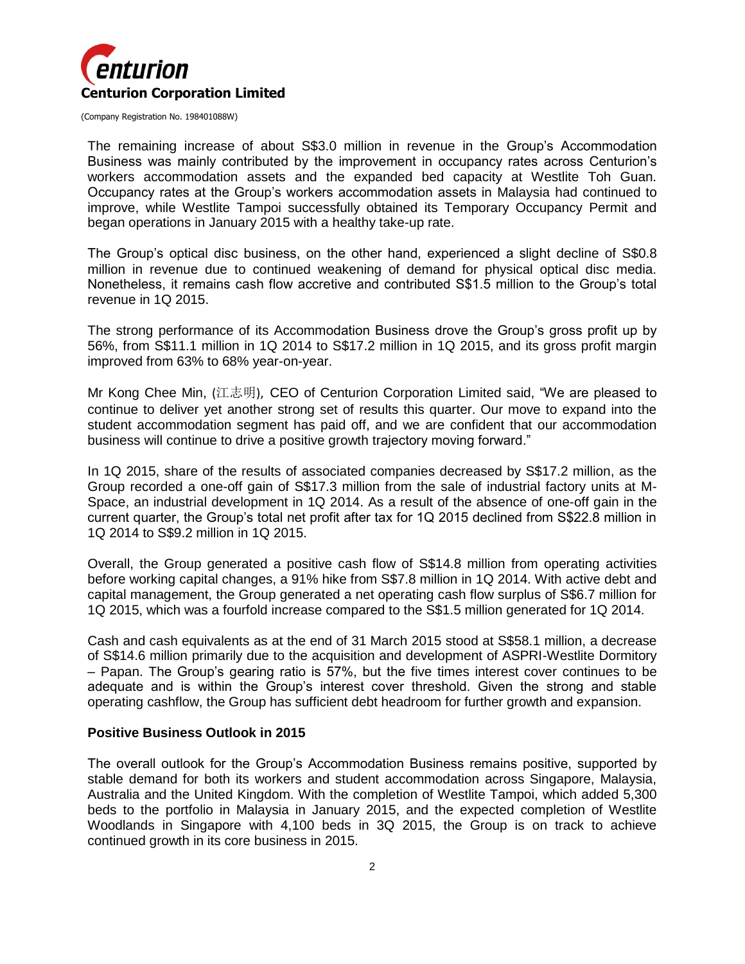

The remaining increase of about S\$3.0 million in revenue in the Group's Accommodation Business was mainly contributed by the improvement in occupancy rates across Centurion's workers accommodation assets and the expanded bed capacity at Westlite Toh Guan. Occupancy rates at the Group's workers accommodation assets in Malaysia had continued to improve, while Westlite Tampoi successfully obtained its Temporary Occupancy Permit and began operations in January 2015 with a healthy take-up rate.

The Group's optical disc business, on the other hand, experienced a slight decline of S\$0.8 million in revenue due to continued weakening of demand for physical optical disc media. Nonetheless, it remains cash flow accretive and contributed S\$1.5 million to the Group's total revenue in 1Q 2015.

The strong performance of its Accommodation Business drove the Group's gross profit up by 56%, from S\$11.1 million in 1Q 2014 to S\$17.2 million in 1Q 2015, and its gross profit margin improved from 63% to 68% year-on-year.

Mr Kong Chee Min, (江志明), CEO of Centurion Corporation Limited said, "We are pleased to continue to deliver yet another strong set of results this quarter. Our move to expand into the student accommodation segment has paid off, and we are confident that our accommodation business will continue to drive a positive growth trajectory moving forward."

In 1Q 2015, share of the results of associated companies decreased by S\$17.2 million, as the Group recorded a one-off gain of S\$17.3 million from the sale of industrial factory units at M-Space, an industrial development in 1Q 2014. As a result of the absence of one-off gain in the current quarter, the Group's total net profit after tax for 1Q 2015 declined from S\$22.8 million in 1Q 2014 to S\$9.2 million in 1Q 2015.

Overall, the Group generated a positive cash flow of S\$14.8 million from operating activities before working capital changes, a 91% hike from S\$7.8 million in 1Q 2014. With active debt and capital management, the Group generated a net operating cash flow surplus of S\$6.7 million for 1Q 2015, which was a fourfold increase compared to the S\$1.5 million generated for 1Q 2014.

Cash and cash equivalents as at the end of 31 March 2015 stood at S\$58.1 million, a decrease of S\$14.6 million primarily due to the acquisition and development of ASPRI-Westlite Dormitory – Papan. The Group's gearing ratio is 57%, but the five times interest cover continues to be adequate and is within the Group's interest cover threshold. Given the strong and stable operating cashflow, the Group has sufficient debt headroom for further growth and expansion.

#### **Positive Business Outlook in 2015**

The overall outlook for the Group's Accommodation Business remains positive, supported by stable demand for both its workers and student accommodation across Singapore, Malaysia, Australia and the United Kingdom. With the completion of Westlite Tampoi, which added 5,300 beds to the portfolio in Malaysia in January 2015, and the expected completion of Westlite Woodlands in Singapore with 4,100 beds in 3Q 2015, the Group is on track to achieve continued growth in its core business in 2015.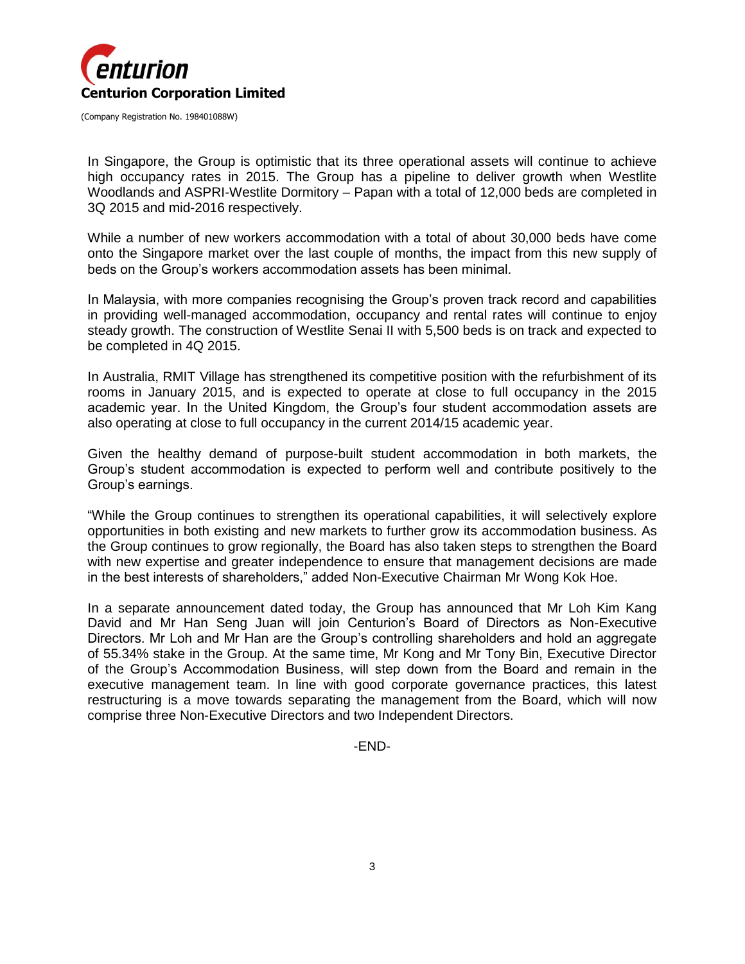

In Singapore, the Group is optimistic that its three operational assets will continue to achieve high occupancy rates in 2015. The Group has a pipeline to deliver growth when Westlite Woodlands and ASPRI-Westlite Dormitory – Papan with a total of 12,000 beds are completed in 3Q 2015 and mid-2016 respectively.

While a number of new workers accommodation with a total of about 30,000 beds have come onto the Singapore market over the last couple of months, the impact from this new supply of beds on the Group's workers accommodation assets has been minimal.

In Malaysia, with more companies recognising the Group's proven track record and capabilities in providing well-managed accommodation, occupancy and rental rates will continue to enjoy steady growth. The construction of Westlite Senai II with 5,500 beds is on track and expected to be completed in 4Q 2015.

In Australia, RMIT Village has strengthened its competitive position with the refurbishment of its rooms in January 2015, and is expected to operate at close to full occupancy in the 2015 academic year. In the United Kingdom, the Group's four student accommodation assets are also operating at close to full occupancy in the current 2014/15 academic year.

Given the healthy demand of purpose-built student accommodation in both markets, the Group's student accommodation is expected to perform well and contribute positively to the Group's earnings.

"While the Group continues to strengthen its operational capabilities, it will selectively explore opportunities in both existing and new markets to further grow its accommodation business. As the Group continues to grow regionally, the Board has also taken steps to strengthen the Board with new expertise and greater independence to ensure that management decisions are made in the best interests of shareholders," added Non-Executive Chairman Mr Wong Kok Hoe.

In a separate announcement dated today, the Group has announced that Mr Loh Kim Kang David and Mr Han Seng Juan will join Centurion's Board of Directors as Non-Executive Directors. Mr Loh and Mr Han are the Group's controlling shareholders and hold an aggregate of 55.34% stake in the Group. At the same time, Mr Kong and Mr Tony Bin, Executive Director of the Group's Accommodation Business, will step down from the Board and remain in the executive management team. In line with good corporate governance practices, this latest restructuring is a move towards separating the management from the Board, which will now comprise three Non-Executive Directors and two Independent Directors.

-END-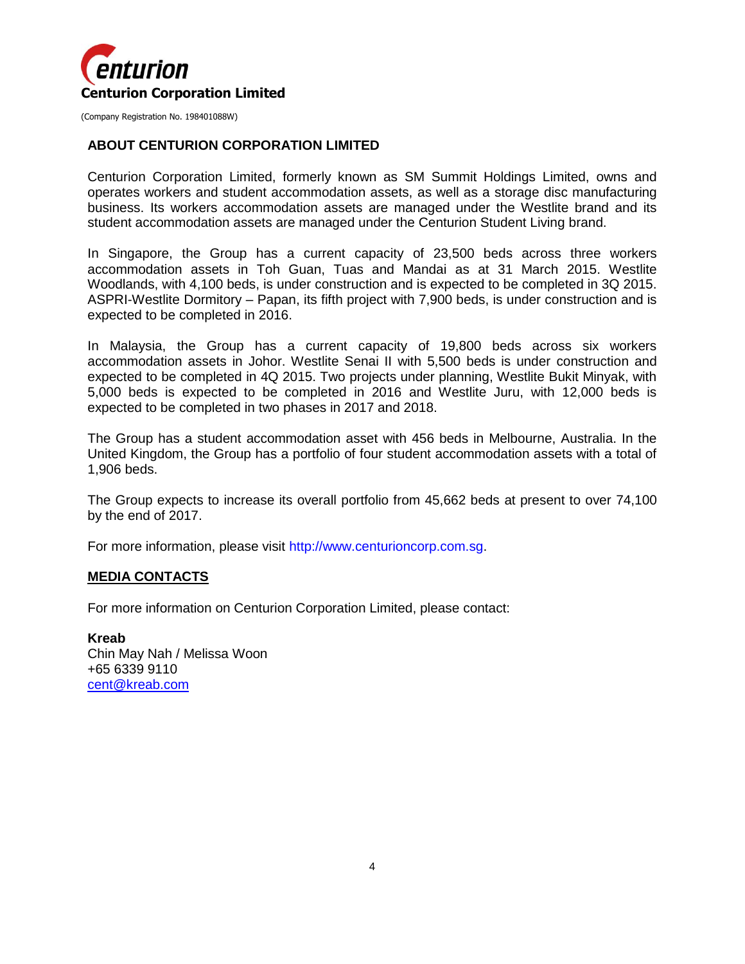

#### **ABOUT CENTURION CORPORATION LIMITED**

Centurion Corporation Limited, formerly known as SM Summit Holdings Limited, owns and operates workers and student accommodation assets, as well as a storage disc manufacturing business. Its workers accommodation assets are managed under the Westlite brand and its student accommodation assets are managed under the Centurion Student Living brand.

In Singapore, the Group has a current capacity of 23,500 beds across three workers accommodation assets in Toh Guan, Tuas and Mandai as at 31 March 2015. Westlite Woodlands, with 4,100 beds, is under construction and is expected to be completed in 3Q 2015. ASPRI-Westlite Dormitory – Papan, its fifth project with 7,900 beds, is under construction and is expected to be completed in 2016.

In Malaysia, the Group has a current capacity of 19,800 beds across six workers accommodation assets in Johor. Westlite Senai II with 5,500 beds is under construction and expected to be completed in 4Q 2015. Two projects under planning, Westlite Bukit Minyak, with 5,000 beds is expected to be completed in 2016 and Westlite Juru, with 12,000 beds is expected to be completed in two phases in 2017 and 2018.

The Group has a student accommodation asset with 456 beds in Melbourne, Australia. In the United Kingdom, the Group has a portfolio of four student accommodation assets with a total of 1,906 beds.

The Group expects to increase its overall portfolio from 45,662 beds at present to over 74,100 by the end of 2017.

For more information, please visit http://www.centurioncorp.com.sg.

#### **MEDIA CONTACTS**

For more information on Centurion Corporation Limited, please contact:

**Kreab**  Chin May Nah / Melissa Woon +65 6339 9110 [cent@kreab.com](mailto:cent@kreab.com)